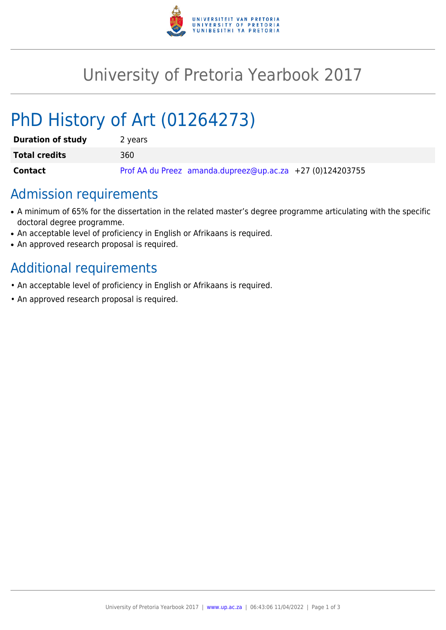

## University of Pretoria Yearbook 2017

# PhD History of Art (01264273)

| <b>Duration of study</b> | 2 years                                                   |
|--------------------------|-----------------------------------------------------------|
| <b>Total credits</b>     | 360                                                       |
| Contact                  | Prof AA du Preez amanda.dupreez@up.ac.za +27 (0)124203755 |

### Admission requirements

- A minimum of 65% for the dissertation in the related master's degree programme articulating with the specific doctoral degree programme.
- An acceptable level of proficiency in English or Afrikaans is required.
- An approved research proposal is required.

### Additional requirements

- An acceptable level of proficiency in English or Afrikaans is required.
- An approved research proposal is required.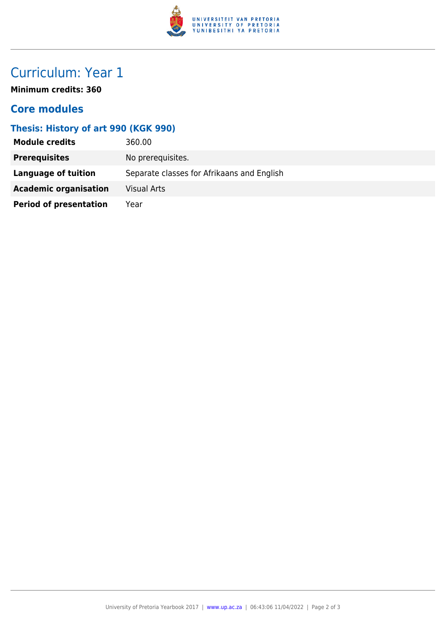

### Curriculum: Year 1

**Minimum credits: 360**

#### **Core modules**

#### **Thesis: History of art 990 (KGK 990)**

| <b>Module credits</b>         | 360.00                                     |
|-------------------------------|--------------------------------------------|
| <b>Prerequisites</b>          | No prerequisites.                          |
| Language of tuition           | Separate classes for Afrikaans and English |
| <b>Academic organisation</b>  | <b>Visual Arts</b>                         |
| <b>Period of presentation</b> | Year                                       |